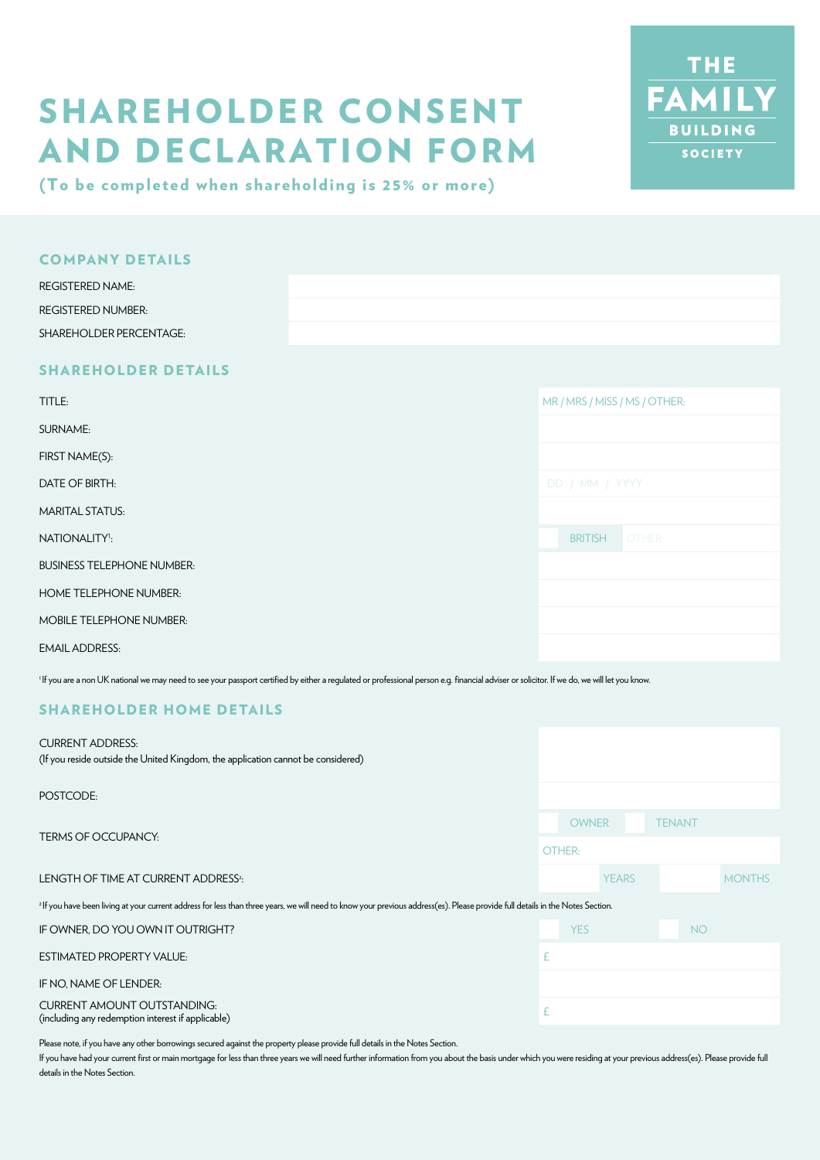# SHAREHOLDER CONSENT AND DECLARATION FORM



(To be completed when shareholding is 25% or more)

| <b>COMPANY DETAILS</b>             |  |
|------------------------------------|--|
| <b>REGISTERED NAME:</b>            |  |
| <b>REGISTERED NUMBER:</b>          |  |
| <b>SHAREHOLDER PERCENTAGE:</b>     |  |
| _ _ _ _ _ _ _ _<br>_ _ _ _ _ _ _ _ |  |

# SHAREHOLDER DETAILS

| TITLE:                            | MR / MRS / MISS / MS / OTHER: |
|-----------------------------------|-------------------------------|
| SURNAME:                          |                               |
| FIRST NAME(S):                    |                               |
| DATE OF BIRTH:                    | DD / MM / YYYY                |
| <b>MARITAL STATUS:</b>            |                               |
| NATIONALITY <sup>1</sup> :        | OTHER:<br><b>BRITISH</b>      |
| <b>BUSINESS TELEPHONE NUMBER:</b> |                               |
| <b>HOME TELEPHONE NUMBER:</b>     |                               |
| <b>MOBILE TELEPHONE NUMBER:</b>   |                               |
| <b>EMAIL ADDRESS:</b>             |                               |

<sup>1</sup>If you are a non UK national we may need to see your passport certified by either a regulated or professional person e.g. financial adviser or solicitor. If we do, we will let you know.

## SHAREHOLDER HOME DETAILS

| <b>CURRENT ADDRESS:</b><br>(If you reside outside the United Kingdom, the application cannot be considered)                                                                               |              |              |               |               |
|-------------------------------------------------------------------------------------------------------------------------------------------------------------------------------------------|--------------|--------------|---------------|---------------|
| POSTCODE:                                                                                                                                                                                 |              |              |               |               |
| <b>TERMS OF OCCUPANCY:</b>                                                                                                                                                                | <b>OWNER</b> |              | <b>TENANT</b> |               |
|                                                                                                                                                                                           | OTHER:       |              |               |               |
| LENGTH OF TIME AT CURRENT ADDRESS <sup>2</sup> :                                                                                                                                          |              | <b>YEARS</b> |               | <b>MONTHS</b> |
| <sup>2</sup> If you have been living at your current address for less than three years, we will need to know your previous address(es). Please provide full details in the Notes Section. |              |              |               |               |
| IF OWNER, DO YOU OWN IT OUTRIGHT?                                                                                                                                                         | <b>YES</b>   |              | <b>NO</b>     |               |
| <b>ESTIMATED PROPERTY VALUE:</b>                                                                                                                                                          | £            |              |               |               |
| IF NO, NAME OF LENDER:                                                                                                                                                                    |              |              |               |               |
| <b>CURRENT AMOUNT OUTSTANDING:</b><br>(including any redemption interest if applicable)                                                                                                   |              |              |               |               |

Please note, if you have any other borrowings secured against the property please provide full details in the Notes Section.

If you have had your current first or main mortgage for less than three years we will need further information from you about the basis under which you were residing at your previous address(es). Please provide full details in the Notes Section.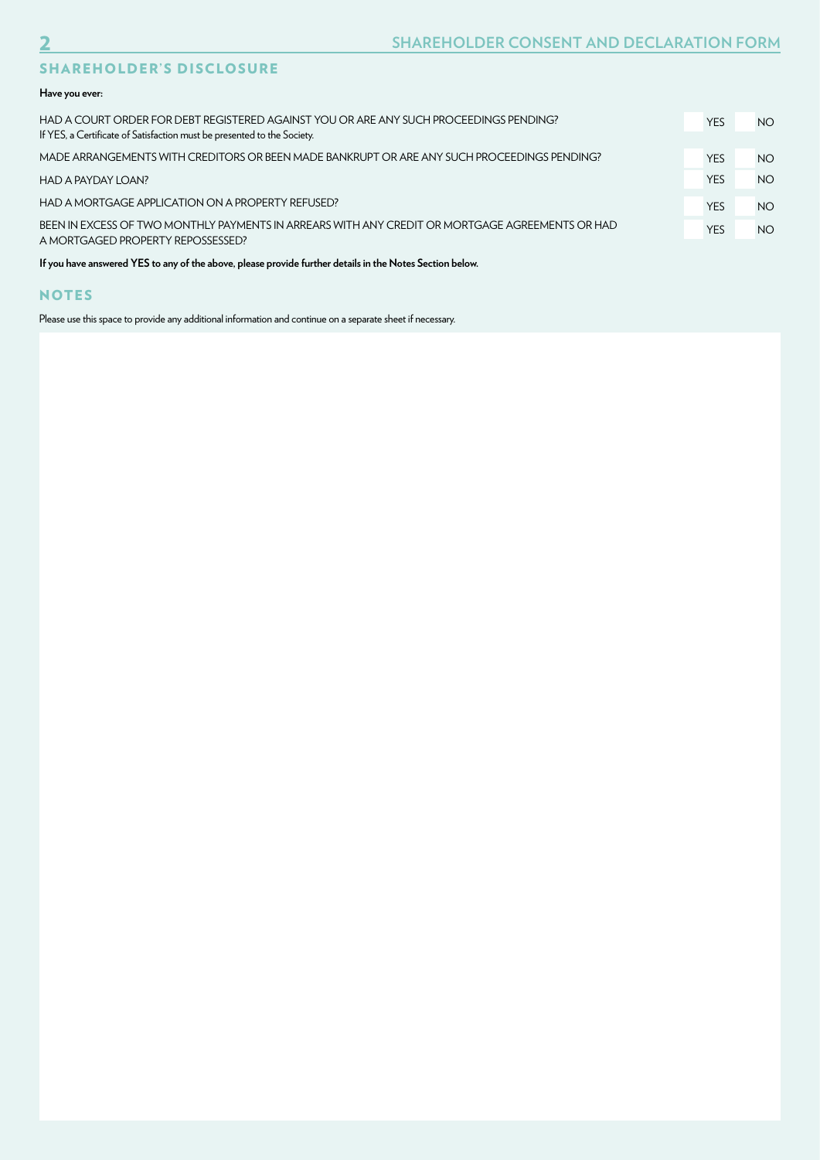# SHAREHOLDER'S DISCLOSURE

#### **Have you ever:**

| HAD A COURT ORDER FOR DEBT REGISTERED AGAINST YOU OR ARE ANY SUCH PROCEEDINGS PENDING?<br>If YES, a Certificate of Satisfaction must be presented to the Society. | <b>YES</b> | NO. |
|-------------------------------------------------------------------------------------------------------------------------------------------------------------------|------------|-----|
| MADE ARRANGEMENTS WITH CREDITORS OR BEEN MADE BANKRUPT OR ARE ANY SUCH PROCEEDINGS PENDING?                                                                       | <b>YES</b> | NO. |
| HAD A PAYDAY LOAN?                                                                                                                                                | <b>YES</b> | NO. |
| HAD A MORTGAGE APPLICATION ON A PROPERTY REFUSED?                                                                                                                 | <b>YES</b> | NO. |
| BEEN IN EXCESS OF TWO MONTHLY PAYMENTS IN ARREARS WITH ANY CREDIT OR MORTGAGE AGREEMENTS OR HAD<br>A MORTGAGED PROPERTY REPOSSESSED?                              | <b>YES</b> | NO. |
|                                                                                                                                                                   |            |     |

**If you have answered YES to any of the above, please provide further details in the Notes Section below.**

## **NOTES**

Please use this space to provide any additional information and continue on a separate sheet if necessary.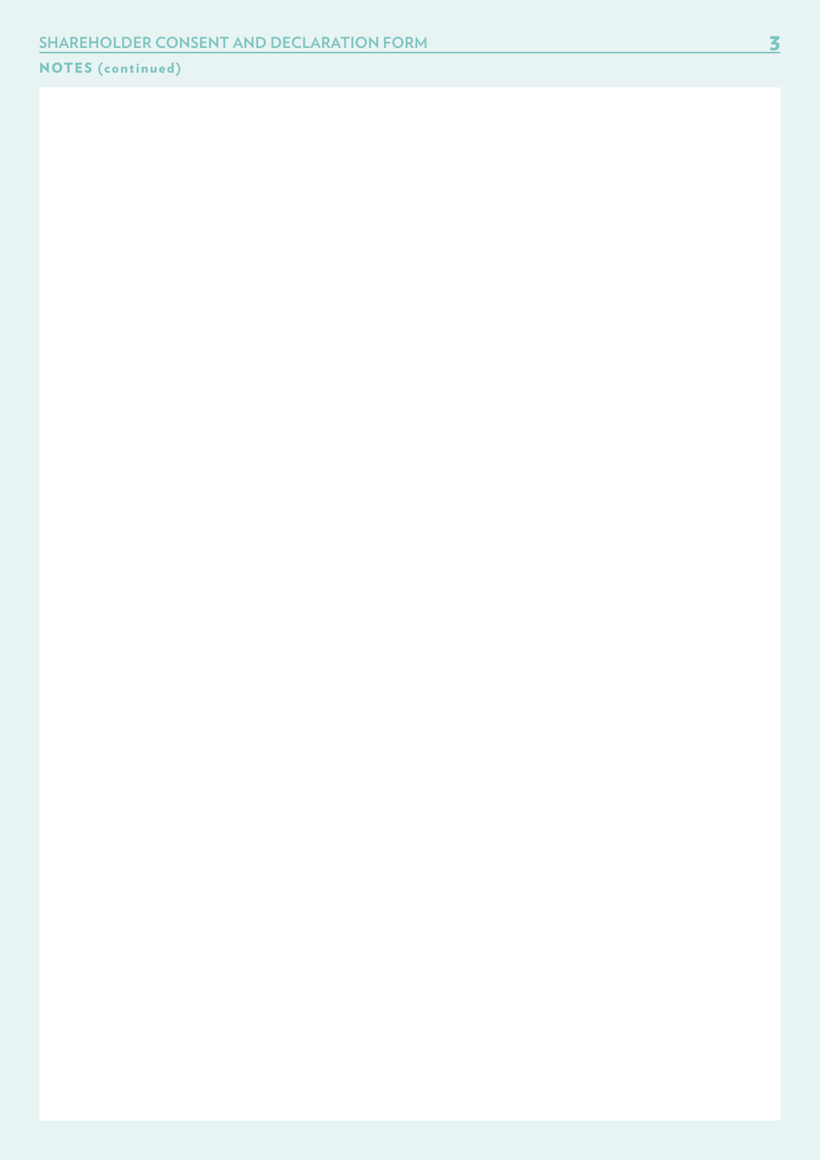# NOTES (continued)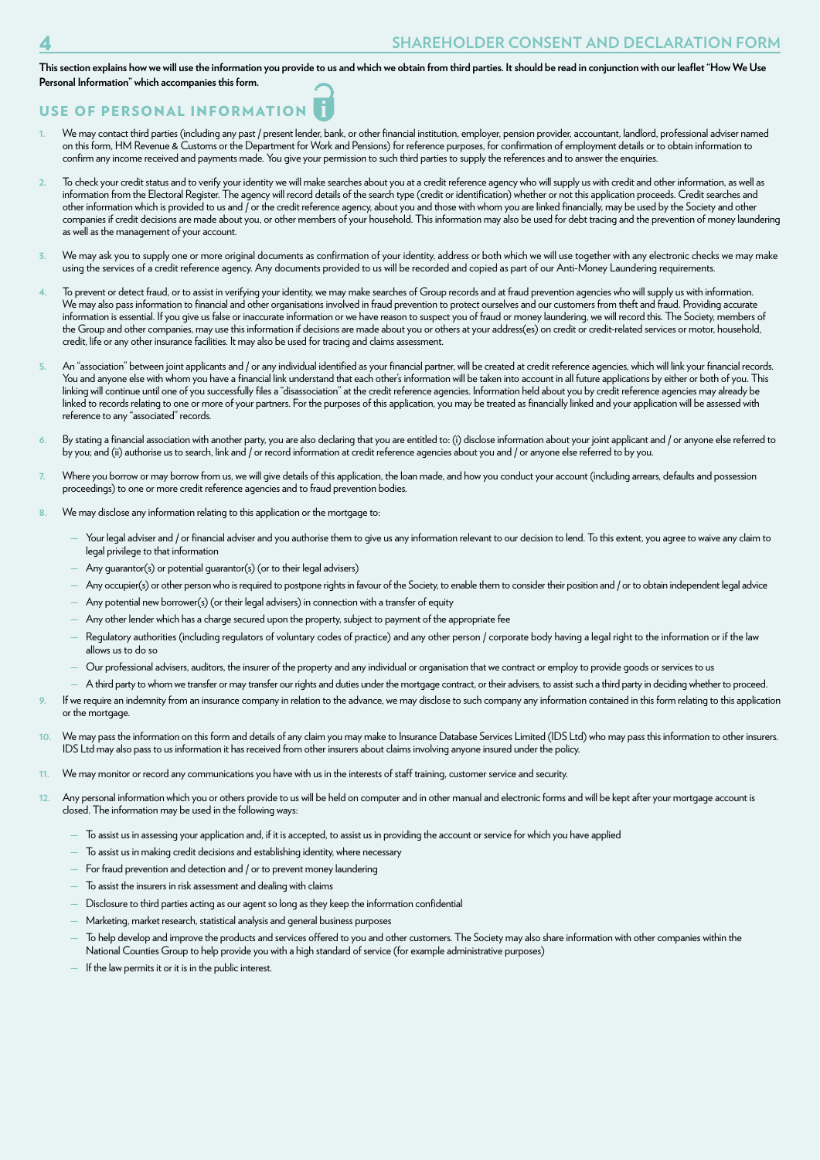**This section explains how we will use the information you provide to us and which we obtain from third parties. It should be read in conjunction with our leaflet "How We Use Personal Information" which accompanies this form.**

# USE OF PERSONAL INFORMATION

- We may contact third parties (including any past / present lender, bank, or other financial institution, employer, pension provider, accountant, landlord, professional adviser named on this form, HM Revenue & Customs or the Department for Work and Pensions) for reference purposes, for confirmation of employment details or to obtain information to confirm any income received and payments made. You give your permission to such third parties to supply the references and to answer the enquiries.
- **2.** To check your credit status and to verify your identity we will make searches about you at a credit reference agency who will supply us with credit and other information, as well as information from the Electoral Register. The agency will record details of the search type (credit or identification) whether or not this application proceeds. Credit searches and other information which is provided to us and  $\overline{\phantom{a}}$  or the credit reference agency, about you and those with whom you are linked financially, may be used by the Society and other companies if credit decisions are made about you, or other members of your household. This information may also be used for debt tracing and the prevention of money laundering as well as the management of your account.
- We may ask you to supply one or more original documents as confirmation of your identity, address or both which we will use together with any electronic checks we may make using the services of a credit reference agency. Any documents provided to us will be recorded and copied as part of our Anti-Money Laundering requirements.
- **4.** To prevent or detect fraud, or to assist in verifying your identity, we may make searches of Group records and at fraud prevention agencies who will supply us with information. We may also pass information to financial and other organisations involved in fraud prevention to protect ourselves and our customers from theft and fraud. Providing accurate information is essential. If you give us false or inaccurate information or we have reason to suspect you of fraud or money laundering, we will record this. The Society, members of the Group and other companies, may use this information if decisions are made about you or others at your address(es) on credit or credit-related services or motor, household, credit, life or any other insurance facilities. It may also be used for tracing and claims assessment.
- An "association" between joint applicants and / or any individual identified as your financial partner, will be created at credit reference agencies, which will link your financial records. You and anyone else with whom you have a financial link understand that each other's information will be taken into account in all future applications by either or both of you. This linking will continue until one of you successfully files a "disassociation" at the credit reference agencies. Information held about you by credit reference agencies may already be linked to records relating to one or more of your partners. For the purposes of this application, you may be treated as financially linked and your application will be assessed with reference to any "associated" records.
- By stating a financial association with another party, you are also declaring that you are entitled to: (i) disclose information about your joint applicant and / or anyone else referred to by you; and (ii) authorise us to search, link and / or record information at credit reference agencies about you and / or anyone else referred to by you.
- Where you borrow or may borrow from us, we will give details of this application, the loan made, and how you conduct your account (including arrears, defaults and possession proceedings) to one or more credit reference agencies and to fraud prevention bodies.
- **8.** We may disclose any information relating to this application or the mortgage to:
	- Your legal adviser and / or financial adviser and you authorise them to give us any information relevant to our decision to lend. To this extent, you agree to waive any claim to legal privilege to that information
	- Any quarantor(s) or potential quarantor(s) (or to their legal advisers)
	- Any occupier(s) or other person who is required to postpone rights in favour of the Society, to enable them to consider their position and / or to obtain independent legal advice
	- **—** Any potential new borrower(s) (or their legal advisers) in connection with a transfer of equity
	- **—** Any other lender which has a charge secured upon the property, subject to payment of the appropriate fee
	- **—** Regulatory authorities (including regulators of voluntary codes of practice) and any other person / corporate body having a legal right to the information or if the law allows us to do so
	- **—** Our professional advisers, auditors, the insurer of the property and any individual or organisation that we contract or employ to provide goods or services to us
	- **—** A third party to whom we transfer or may transfer our rights and duties under the mortgage contract, or their advisers, to assist such a third party in deciding whether to proceed.
- **9.** If we require an indemnity from an insurance company in relation to the advance, we may disclose to such company any information contained in this form relating to this application or the mortgage.
- **10.** We may pass the information on this form and details of any claim you may make to Insurance Database Services Limited (IDS Ltd) who may pass this information to other insurers. IDS Ltd may also pass to us information it has received from other insurers about claims involving anyone insured under the policy.
- **11.** We may monitor or record any communications you have with us in the interests of staff training, customer service and security.
- **12.** Any personal information which you or others provide to us will be held on computer and in other manual and electronic forms and will be kept after your mortgage account is closed. The information may be used in the following ways:
	- **—** To assist us in assessing your application and, if it is accepted, to assist us in providing the account or service for which you have applied
	- **—** To assist us in making credit decisions and establishing identity, where necessary
	- **—** For fraud prevention and detection and / or to prevent money laundering
	- **—** To assist the insurers in risk assessment and dealing with claims
	- **—** Disclosure to third parties acting as our agent so long as they keep the information confidential
	- **—** Marketing, market research, statistical analysis and general business purposes
	- **—** To help develop and improve the products and services offered to you and other customers. The Society may also share information with other companies within the National Counties Group to help provide you with a high standard of service (for example administrative purposes)
	- **—** If the law permits it or it is in the public interest.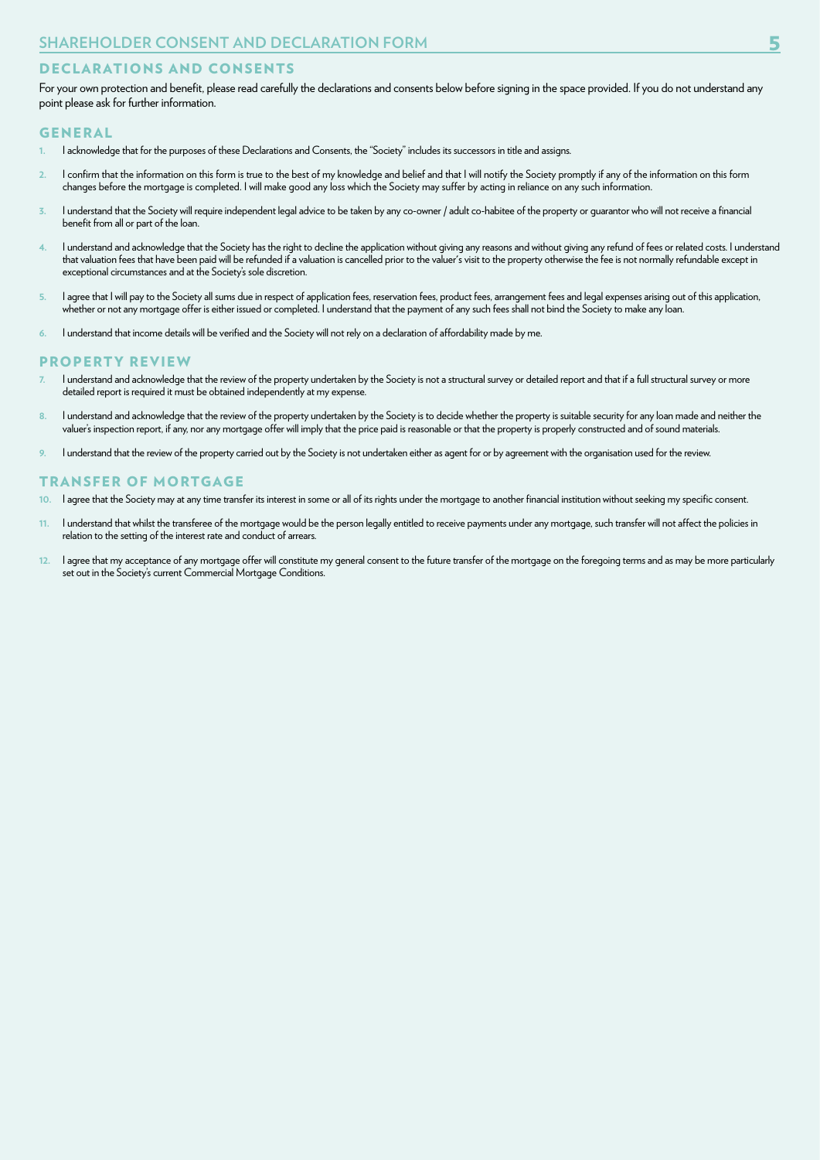## DECLARATIONS AND CONSENTS

For your own protection and benefit, please read carefully the declarations and consents below before signing in the space provided. If you do not understand any point please ask for further information.

#### GENERAL

- **1.** I acknowledge that for the purposes of these Declarations and Consents, the "Society" includes its successors in title and assigns.
- **2.** I confirm that the information on this form is true to the best of my knowledge and belief and that I will notify the Society promptly if any of the information on this form changes before the mortgage is completed. I will make good any loss which the Society may suffer by acting in reliance on any such information.
- **3.** I understand that the Society will require independent legal advice to be taken by any co-owner / adult co-habitee of the property or guarantor who will not receive a financial benefit from all or part of the loan.
- **4.** I understand and acknowledge that the Society has the right to decline the application without giving any reasons and without giving any refund of fees or related costs. I understand that valuation fees that have been paid will be refunded if a valuation is cancelled prior to the valuer's visit to the property otherwise the fee is not normally refundable except in exceptional circumstances and at the Society's sole discretion.
- 5. I agree that I will pay to the Society all sums due in respect of application fees, reservation fees, product fees, arrangement fees and legal expenses arising out of this application, whether or not any mortgage offer is either issued or completed. I understand that the payment of any such fees shall not bind the Society to make any loan.
- **6.** I understand that income details will be verified and the Society will not rely on a declaration of affordability made by me.

#### PROPERTY REVIEW

- **7.** I understand and acknowledge that the review of the property undertaken by the Society is not a structural survey or detailed report and that if a full structural survey or more detailed report is required it must be obtained independently at my expense.
- **8.** I understand and acknowledge that the review of the property undertaken by the Society is to decide whether the property is suitable security for any loan made and neither the valuer's inspection report, if any, nor any mortgage offer will imply that the price paid is reasonable or that the property is properly constructed and of sound materials.
- **9.** I understand that the review of the property carried out by the Society is not undertaken either as agent for or by agreement with the organisation used for the review.

#### TRANSFER OF MORTGAGE

- **10.** I agree that the Society may at any time transfer its interest in some or all of its rights under the mortgage to another financial institution without seeking my specific consent.
- **11.** I understand that whilst the transferee of the mortgage would be the person legally entitled to receive payments under any mortgage, such transfer will not affect the policies in relation to the setting of the interest rate and conduct of arrears.
- **12.** I agree that my acceptance of any mortgage offer will constitute my general consent to the future transfer of the mortgage on the foregoing terms and as may be more particularly set out in the Society's current Commercial Mortgage Conditions.